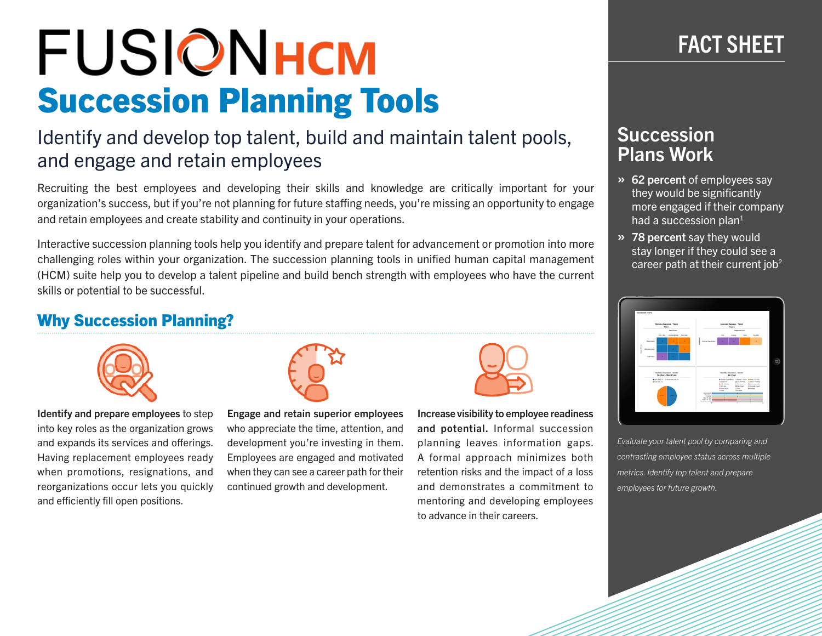# **FUSIONHCM** Succession Planning Tools

## Identify and develop top talent, build and maintain talent pools, and engage and retain employees

Recruiting the best employees and developing their skills and knowledge are critically important for your organization's success, but if you're not planning for future staffing needs, you're missing an opportunity to engage and retain employees and create stability and continuity in your operations.

Interactive succession planning tools help you identify and prepare talent for advancement or promotion into more challenging roles within your organization. The succession planning tools in unified human capital management (HCM) suite help you to develop a talent pipeline and build bench strength with employees who have the current skills or potential to be successful.

## Why Succession Planning?



Identify and prepare employees to step into key roles as the organization grows and expands its services and offerings. Having replacement employees ready when promotions, resignations, and reorganizations occur lets you quickly and efficiently fill open positions.



Engage and retain superior employees who appreciate the time, attention, and development you're investing in them. Employees are engaged and motivated when they can see a career path for their continued growth and development.



Increase visibility to employee readiness and potential. Informal succession planning leaves information gaps. A formal approach minimizes both retention risks and the impact of a loss and demonstrates a commitment to mentoring and developing employees to advance in their careers.

# FACT SHEET

## **Succession** Plans Work

- » 62 percent of employees say they would be significantly more engaged if their company had a succession plan $1$
- » 78 percent say they would stay longer if they could see a career path at their current job<sup>2</sup>



*Evaluate your talent pool by comparing and contrasting employee status across multiple metrics. Identify top talent and prepare employees for future growth.*